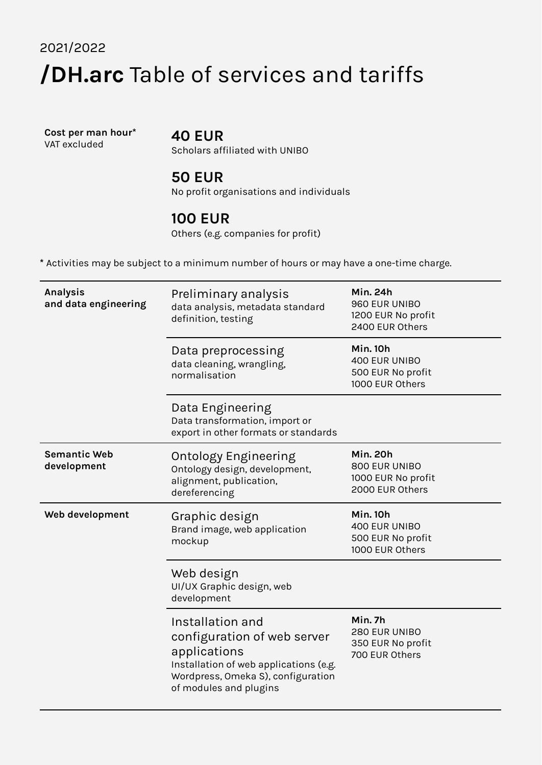# 2021/2022 **/DH.arc** Table of services and tariffs

**Cost per man hour\*** VAT excluded

## **40 EUR**

Scholars affiliated with UNIBO

#### **50 EUR**

No profit organisations and individuals

#### **100 EUR**

Others (e.g. companies for profit)

**\*** Activities may be subject to a minimum number of hours or may have a one-time charge.

| Analysis<br>and data engineering   | Preliminary analysis<br>data analysis, metadata standard<br>definition, testing                                                                                           | <b>Min. 24h</b><br>960 EUR UNIBO<br>1200 EUR No profit<br>2400 EUR Others |
|------------------------------------|---------------------------------------------------------------------------------------------------------------------------------------------------------------------------|---------------------------------------------------------------------------|
|                                    | Data preprocessing<br>data cleaning, wrangling,<br>normalisation                                                                                                          | <b>Min. 10h</b><br>400 EUR UNIBO<br>500 EUR No profit<br>1000 EUR Others  |
|                                    | Data Engineering<br>Data transformation, import or<br>export in other formats or standards                                                                                |                                                                           |
| <b>Semantic Web</b><br>development | <b>Ontology Engineering</b><br>Ontology design, development,<br>alignment, publication,<br>dereferencing                                                                  | <b>Min. 20h</b><br>800 EUR UNIBO<br>1000 EUR No profit<br>2000 EUR Others |
| Web development                    | Graphic design<br>Brand image, web application<br>mockup                                                                                                                  | <b>Min. 10h</b><br>400 EUR UNIBO<br>500 EUR No profit<br>1000 EUR Others  |
|                                    | Web design<br>UI/UX Graphic design, web<br>development                                                                                                                    |                                                                           |
|                                    | Installation and<br>configuration of web server<br>applications<br>Installation of web applications (e.g.<br>Wordpress, Omeka S), configuration<br>of modules and plugins | Min. 7h<br>280 EUR UNIBO<br>350 EUR No profit<br>700 EUR Others           |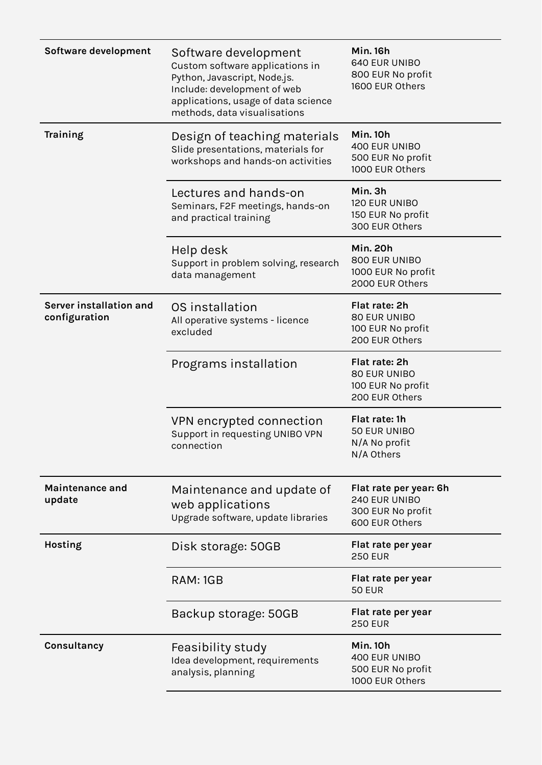| Software development                     | Software development<br>Custom software applications in<br>Python, Javascript, Node.js.<br>Include: development of web<br>applications, usage of data science<br>methods, data visualisations | <b>Min. 16h</b><br><b>640 EUR UNIBO</b><br>800 EUR No profit<br>1600 EUR Others |
|------------------------------------------|-----------------------------------------------------------------------------------------------------------------------------------------------------------------------------------------------|---------------------------------------------------------------------------------|
| <b>Training</b>                          | Design of teaching materials<br>Slide presentations, materials for<br>workshops and hands-on activities                                                                                       | <b>Min. 10h</b><br>400 EUR UNIBO<br>500 EUR No profit<br>1000 EUR Others        |
|                                          | Lectures and hands-on<br>Seminars, F2F meetings, hands-on<br>and practical training                                                                                                           | Min. 3h<br>120 EUR UNIBO<br>150 EUR No profit<br>300 EUR Others                 |
|                                          | Help desk<br>Support in problem solving, research<br>data management                                                                                                                          | <b>Min. 20h</b><br>800 EUR UNIBO<br>1000 EUR No profit<br>2000 EUR Others       |
| Server installation and<br>configuration | OS installation<br>All operative systems - licence<br>excluded                                                                                                                                | Flat rate: 2h<br>80 EUR UNIBO<br>100 EUR No profit<br>200 EUR Others            |
|                                          | Programs installation                                                                                                                                                                         | Flat rate: 2h<br>80 EUR UNIBO<br>100 EUR No profit<br>200 EUR Others            |
|                                          | VPN encrypted connection<br>Support in requesting UNIBO VPN<br>connection                                                                                                                     | Flat rate: 1h<br>50 EUR UNIBO<br>N/A No profit<br>N/A Others                    |
| <b>Maintenance and</b><br>update         | Maintenance and update of<br>web applications<br>Upgrade software, update libraries                                                                                                           | Flat rate per year: 6h<br>240 EUR UNIBO<br>300 EUR No profit<br>600 EUR Others  |
| Hosting                                  | Disk storage: 50GB                                                                                                                                                                            | Flat rate per year<br><b>250 EUR</b>                                            |
|                                          | RAM: 1GB                                                                                                                                                                                      | Flat rate per year<br><b>50 EUR</b>                                             |
|                                          | Backup storage: 50GB                                                                                                                                                                          | Flat rate per year<br><b>250 EUR</b>                                            |
| Consultancy                              | Feasibility study<br>Idea development, requirements<br>analysis, planning                                                                                                                     | <b>Min. 10h</b><br>400 EUR UNIBO<br>500 EUR No profit<br>1000 EUR Others        |